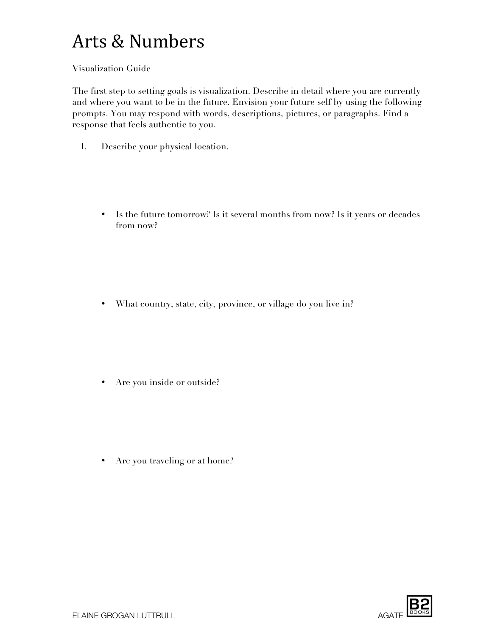#### Visualization Guide

The first step to setting goals is visualization. Describe in detail where you are currently and where you want to be in the future. Envision your future self by using the following prompts. You may respond with words, descriptions, pictures, or paragraphs. Find a response that feels authentic to you.

- I. Describe your physical location.
	- Is the future tomorrow? Is it several months from now? Is it years or decades from now?

• What country, state, city, province, or village do you live in?

• Are you inside or outside?

• Are you traveling or at home?

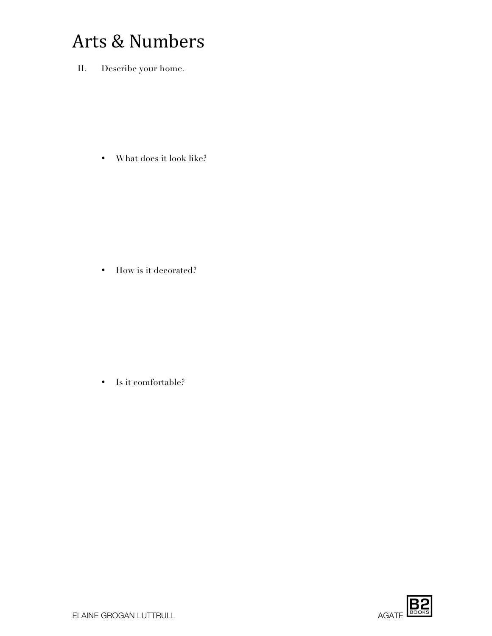II. Describe your home.

• What does it look like?

• How is it decorated?

• Is it comfortable?

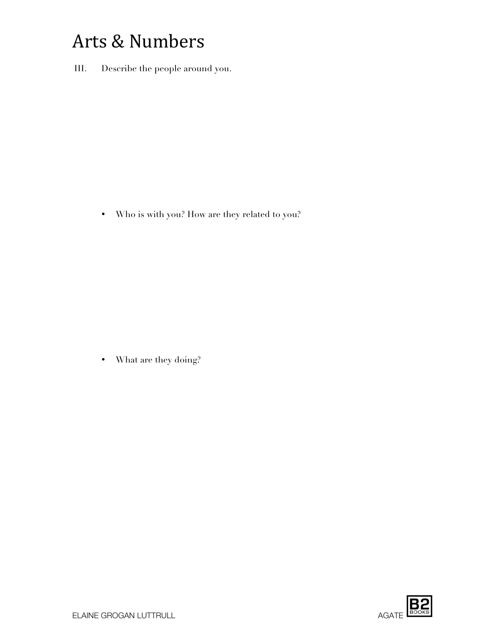III. Describe the people around you.

• Who is with you? How are they related to you?

• What are they doing?

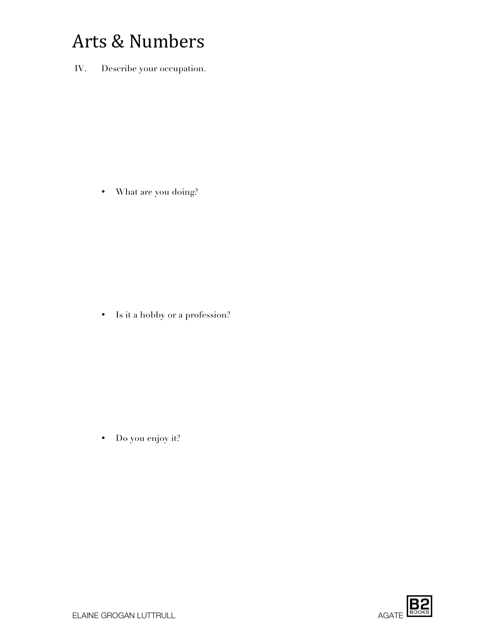IV. Describe your occupation.

• What are you doing?

• Is it a hobby or a profession?

• Do you enjoy it?